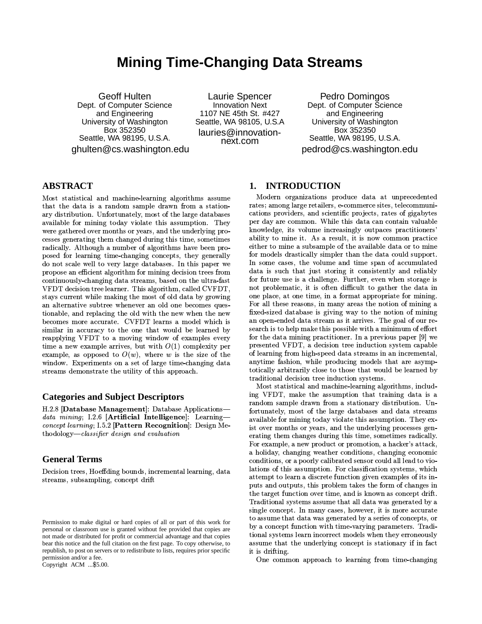# **Mining Time-Changing Data Streams**

**Geoff Hulten** Dept. of Computer Science and Engineering University of Washington Box 352350 Seattle, WA 98195, U.S.A. ghulten@cs.washington.edu

Laurie Spencer **Innovation Next** 1107 NE 45th St. #427 Seattle, WA 98105, U.S.A lauries@innovationnext.com

Pedro Domingos Dept. of Computer Science and Engineering University of Washington Box 352350 Seattle, WA 98195, U.S.A. pedrod@cs.washington.edu

# **ABSTRACT**

Most statistical and machine-learning algorithms assume that the data is a random sample drawn from a stationary distribution. Unfortunately, most of the large databases available for mining today violate this assumption. They were gathered over months or years, and the underlying processes generating them changed during this time, sometimes radically. Although a number of algorithms have been proposed for learning time-changing concepts, they generally do not scale well to very large databases. In this paper we propose an efficient algorithm for mining decision trees from continuously-changing data streams, based on the ultra-fast VFDT decision tree learner. This algorithm, called CVFDT, stays current while making the most of old data by growing an alternative subtree whenever an old one becomes questionable, and replacing the old with the new when the new becomes more accurate. CVFDT learns a model which is similar in accuracy to the one that would be learned by reapplying VFDT to a moving window of examples every time a new example arrives, but with  $O(1)$  complexity per example, as opposed to  $O(w)$ , where w is the size of the window. Experiments on a set of large time-changing data streams demonstrate the utility of this approach.

### **Categories and Subject Descriptors**

H.2.8 Database Management: Database Applicationsdata mining; I.2.6 [Artificial Intelligence]: Learning*concept learning*;  $1.5.2$  [Pattern Recognition]: Design Methodology-classifier design and evaluation

# **General Terms**

Decision trees, Hoeffding bounds, incremental learning, data streams, subsampling, concept drift

Copyright ACM ...\$5.00.

# 1. INTRODUCTION

Modern organizations produce data at unprecedented rates; among large retailers, e-commerce sites, telecommunications providers, and scientific projects, rates of gigabytes per day are common. While this data can contain valuable knowledge, its volume increasingly outpaces practitioners' ability to mine it. As a result, it is now common practice either to mine a subsample of the available data or to mine for models drastically simpler than the data could support. In some cases, the volume and time span of accumulated data is such that just storing it consistently and reliably for future use is a challenge. Further, even when storage is not problematic, it is often difficult to gather the data in one place, at one time, in a format appropriate for mining. For all these reasons, in many areas the notion of mining a fixed-sized database is giving way to the notion of mining an open-ended data stream as it arrives. The goal of our research is to help make this possible with a minimum of effort for the data mining practitioner. In a previous paper [9] we presented VFDT, a decision tree induction system capable of learning from high-speed data streams in an incremental. anytime fashion, while producing models that are asymptotically arbitrarily close to those that would be learned by traditional decision tree induction systems.

Most statistical and machine-learning algorithms, including VFDT, make the assumption that training data is a random sample drawn from a stationary distribution. Unfortunately, most of the large databases and data streams available for mining today violate this assumption. They exist over months or years, and the underlying processes generating them changes during this time, sometimes radically. For example, a new product or promotion, a hacker's attack, a holiday, changing weather conditions, changing economic conditions, or a poorly calibrated sensor could all lead to violations of this assumption. For classification systems, which attempt to learn a discrete function given examples of its inputs and outputs, this problem takes the form of changes in the target function over time, and is known as concept drift. Traditional systems assume that all data was generated by a single concept. In many cases, however, it is more accurate to assume that data was generated by a series of concepts, or by a concept function with time-varying parameters. Traditional systems learn incorrect models when they erroneously assume that the underlying concept is stationary if in fact it is drifting.

One common approach to learning from time-changing

Permission to make digital or hard copies of all or part of this work for personal or classroom use is granted without fee provided that copies are not made or distributed for profit or commercial advantage and that copies bear this notice and the full citation on the first page. To copy otherwise, to republish, to post on servers or to redistribute to lists, requires prior specific permission and/or a fee.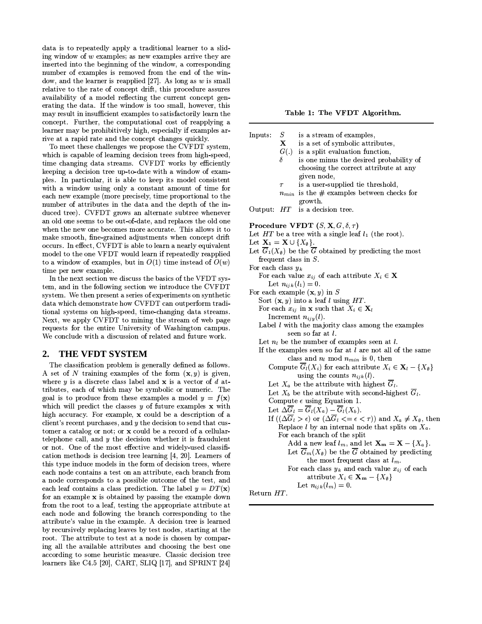data is to repeatedly apply a traditional learner to a sliding window of  $w$  examples; as new examples arrive they are inserted into the beginning of the window, a corresponding number of examples is removed from the end of the window, and the learner is reapplied [27]. As long as  $w$  is small relative to the rate of concept drift, this procedure assures availability of a model reflecting the current concept generating the data. If the window is too small, however, this may result in insufficient examples to satisfactorily learn the concept. Further, the computational cost of reapplying a learner may be prohibitively high, especially if examples arrive at a rapid rate and the concept changes quickly.

To meet these challenges we propose the CVFDT system, which is capable of learning decision trees from high-speed, time changing data streams. CVFDT works by efficiently keeping a decision tree up-to-date with a window of examples. In particular, it is able to keep its model consistent with a window using only a constant amount of time for each new example (more precisely, time proportional to the number of attributes in the data and the depth of the induced tree). CVFDT grows an alternate subtree whenever an old one seems to be out-of-date, and replaces the old one when the new one becomes more accurate. This allows it to make smooth, fine-grained adjustments when concept drift occurs. In effect, CVFDT is able to learn a nearly equivalent model to the one VFDT would learn if repeatedly reapplied to a window of examples, but in  $O(1)$  time instead of  $O(w)$ time per new example.

In the next section we discuss the basics of the VFDT system, and in the following section we introduce the CVFDT system. We then present a series of experiments on synthetic data which demonstrate how CVFDT can outperform traditional systems on high-speed, time-changing data streams. Next, we apply CVFDT to mining the stream of web page requests for the entire University of Washington campus. We conclude with a discussion of related and future work.

#### $2.$ **THE VFDT SYSTEM**

The classification problem is generally defined as follows. A set of N training examples of the form  $(x, y)$  is given, where  $y$  is a discrete class label and  $x$  is a vector of  $d$  attributes, each of which may be symbolic or numeric. The goal is to produce from these examples a model  $y = f(x)$ which will predict the classes  $y$  of future examples  $x$  with high accuracy. For example, x could be a description of a client's recent purchases, and  $y$  the decision to send that customer a catalog or not; or x could be a record of a cellulartelephone call, and  $y$  the decision whether it is fraudulent or not. One of the most effective and widely-used classification methods is decision tree learning  $[4, 20]$ . Learners of this type induce models in the form of decision trees, where each node contains a test on an attribute, each branch from a node corresponds to a possible outcome of the test, and each leaf contains a class prediction. The label  $y = DT(x)$ for an example x is obtained by passing the example down from the root to a leaf, testing the appropriate attribute at each node and following the branch corresponding to the attribute's value in the example. A decision tree is learned by recursively replacing leaves by test nodes, starting at the root. The attribute to test at a node is chosen by comparing all the available attributes and choosing the best one according to some heuristic measure. Classic decision tree learners like C4.5 [20], CART, SLIQ [17], and SPRINT [24]

Table 1: The VFDT Algorithm.

| Inputs:                               | S            | is a stream of examples,                                                                  |
|---------------------------------------|--------------|-------------------------------------------------------------------------------------------|
|                                       | $\mathbf{X}$ | is a set of symbolic attributes,                                                          |
|                                       |              | $G(.)$ is a split evaluation function,                                                    |
|                                       | δ            | is one minus the desired probability of                                                   |
|                                       |              | choosing the correct attribute at any                                                     |
|                                       |              | given node,                                                                               |
|                                       | $\tau$       | is a user-supplied tie threshold,                                                         |
|                                       |              | $n_{min}$ is the # examples between checks for                                            |
|                                       |              | growth.                                                                                   |
|                                       |              | Output: $HT$ is a decision tree.                                                          |
|                                       |              |                                                                                           |
|                                       |              | <b>Procedure VFDT</b> $(S, \mathbf{X}, G, \delta, \tau)$                                  |
|                                       |              | Let $HT$ be a tree with a single leaf $l_1$ (the root).                                   |
| Let $X_1 = X \cup \{X_{\emptyset}\}.$ |              |                                                                                           |
|                                       |              | Let $\overline{G}_1(X_{\emptyset})$ be the $\overline{G}$ obtained by predicting the most |
|                                       |              | frequent class in $S$ .                                                                   |
| For each class $y_k$                  |              |                                                                                           |
|                                       |              | For each value $x_{ij}$ of each attribute $X_i \in \mathbf{X}$                            |
|                                       |              | Let $n_{ijk}(l_1) = 0$ .                                                                  |
|                                       |              | For each example $(\mathbf{x}, y)$ in S                                                   |
|                                       |              | Sort $(\mathbf{x}, y)$ into a leaf l using HT.                                            |
|                                       |              |                                                                                           |

For each  $x_{ij}$  in **x** such that  $X_i \in \mathbf{X}_l$ 

Increment  $n_{iiy}(l)$ .

Label  $l$  with the majority class among the examples seen so far at l.

Let  $n_l$  be the number of examples seen at  $l$ .

If the examples seen so far at  $l$  are not all of the same class and  $n_l \bmod n_{min}$  is 0, then Compute  $\overline{G}_l(X_i)$  for each attribute  $X_i \in \mathbf{X}_l - \{X_{\emptyset}\}\$ 

using the counts  $n_{ijk}(l)$ .

Let  $X_a$  be the attribute with highest  $\overline{G}_l$ .

Let  $X_b$  be the attribute with second-highest  $G_l$ .

Compute  $\epsilon$  using Equation 1. Let  $\Delta \overline{G}_l = \overline{G}_l(X_a) - \overline{G}_l(X_b)$ .

- If  $((\Delta \overline{G}_l > \epsilon)$  or  $(\Delta \overline{G}_l \lt = \epsilon \lt \tau))$  and  $X_a \neq X_\emptyset$ , then Replace *l* by an internal node that splits on  $X_a$ . For each branch of the split Add a new leaf  $l_m$ , and let  $\mathbf{X_m} = \mathbf{X} - \{X_a\}$ .
	- Let  $\overline{G}_m(X_\emptyset)$  be the  $\overline{G}$  obtained by predicting the most frequent class at  $l_m$ . For each class  $y_k$  and each value  $x_{ij}$  of each

attribute  $X_i \in \mathbf{X_m} - \{X_\emptyset\}$ Let  $n_{ijk}(l_m)=0$ .

Return HT.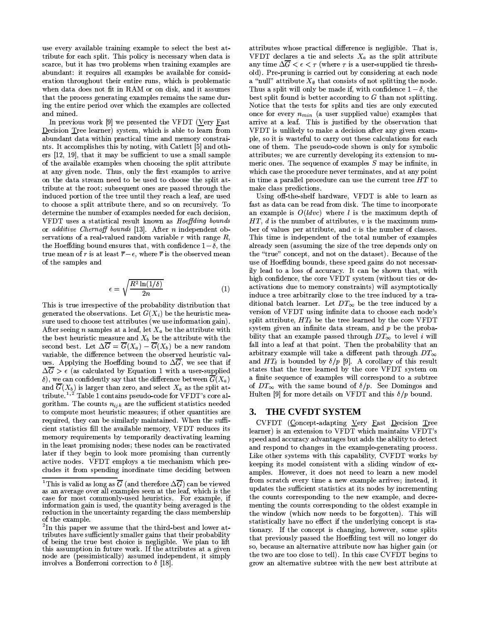use every available training example to select the best attribute for each split. This policy is necessary when data is scarce, but it has two problems when training examples are abundant: it requires all examples be available for consideration throughout their entire runs, which is problematic when data does not fit in RAM or on disk, and it assumes that the process generating examples remains the same during the entire period over which the examples are collected and mined.

In previous work [9] we presented the VFDT (Very Fast Decision Tree learner) system, which is able to learn from abundant data within practical time and memory constraints. It accomplishes this by noting, with Catlett [5] and others [12, 19], that it may be sufficient to use a small sample of the available examples when choosing the split attribute at any given node. Thus, only the first examples to arrive on the data stream need to be used to choose the split attribute at the root; subsequent ones are passed through the induced portion of the tree until they reach a leaf, are used to choose a split attribute there, and so on recursively. To determine the number of examples needed for each decision, VFDT uses a statistical result known as Hoeffding bounds or additive Chernoff bounds [13]. After n independent observations of a real-valued random variable  $r$  with range  $R$ , the Hoeffding bound ensures that, with confidence  $1-\delta$ , the true mean of r is at least  $\overline{r} - \epsilon$ , where  $\overline{r}$  is the observed mean of the samples and

$$
\epsilon = \sqrt{\frac{R^2 \ln(1/\delta)}{2n}} \tag{1}
$$

This is true irrespective of the probability distribution that generated the observations. Let  $G(X_i)$  be the heuristic measure used to choose test attributes (we use information gain). After seeing *n* samples at a leaf, let  $X_a$  be the attribute with the best heuristic measure and  $X_b$  be the attribute with the second best. Let  $\Delta \overline{G} = \overline{G}(X_a) - \overline{G}(X_b)$  be a new random variable, the difference between the observed heuristic values. Applying the Hoeffding bound to  $\Delta \overline{G}$ , we see that if  $\Delta \overline{G} > \epsilon$  (as calculated by Equation 1 with a user-supplied  $\delta$ ), we can confidently say that the difference between  $\overline{G}(X_a)$ and  $\overline{G}(X_b)$  is larger than zero, and select  $X_a$  as the split attribute.<sup>1,2</sup> Table 1 contains pseudo-code for VFDT's core algorithm. The counts  $n_{ijk}$  are the sufficient statistics needed to compute most heuristic measures; if other quantities are required, they can be similarly maintained. When the sufficient statistics fill the available memory, VFDT reduces its memory requirements by temporarily deactivating learning in the least promising nodes; these nodes can be reactivated later if they begin to look more promising than currently active nodes. VFDT employs a tie mechanism which precludes it from spending inordinate time deciding between

attributes whose practical difference is negligible. That is, VFDT declares a tie and selects  $X_a$  as the split attribute any time  $\Delta \overline{G} < \epsilon < \tau$  (where  $\tau$  is a user-supplied tie threshold). Pre-pruning is carried out by considering at each node a "null" attribute  $X_{\emptyset}$  that consists of not splitting the node. Thus a split will only be made if, with confidence  $1-\delta$ , the best split found is better according to  $G$  than not splitting. Notice that the tests for splits and ties are only executed once for every  $n_{min}$  (a user supplied value) examples that arrive at a leaf. This is justified by the observation that VFDT is unlikely to make a decision after any given example, so it is was teful to carry out these calculations for each one of them. The pseudo-code shown is only for symbolic attributes; we are currently developing its extension to numeric ones. The sequence of examples  $S$  may be infinite, in which case the procedure never terminates, and at any point in time a parallel procedure can use the current tree  $HT$  to make class predictions.

Using off-the-shelf hardware, VFDT is able to learn as fast as data can be read from disk. The time to incorporate an example is  $O(ldvc)$  where l is the maximum depth of  $HT$ ,  $d$  is the number of attributes,  $v$  is the maximum number of values per attribute, and  $c$  is the number of classes. This time is independent of the total number of examples already seen (assuming the size of the tree depends only on the "true" concept, and not on the dataset). Because of the use of Hoeffding bounds, these speed gains do not necessarily lead to a loss of accuracy. It can be shown that, with high confidence, the core VFDT system (without ties or deactivations due to memory constraints) will asymptotically induce a tree arbitrarily close to the tree induced by a traditional batch learner. Let  $DT_{\infty}$  be the tree induced by a version of VFDT using infinite data to choose each node's split attribute,  $HT_{\delta}$  be the tree learned by the core VFDT system given an infinite data stream, and  $p$  be the probability that an example passed through  $DT_{\infty}$  to level i will fall into a leaf at that point. Then the probability that an arbitrary example will take a different path through  $DT_{\infty}$ and  $HT_{\delta}$  is bounded by  $\delta/p$  [9]. A corollary of this result states that the tree learned by the core VFDT system on a finite sequence of examples will correspond to a subtree of  $DT_{\infty}$  with the same bound of  $\delta/p$ . See Domingos and Hulten [9] for more details on VFDT and this  $\delta/p$  bound.

# 3. THE CVFDT SYSTEM

CVFDT (Concept-adapting Very Fast Decision Tree learner) is an extension to VFDT which maintains VFDT's speed and accuracy advantages but adds the ability to detect and respond to changes in the example-generating process. Like other systems with this capability, CVFDT works by keeping its model consistent with a sliding window of examples. However, it does not need to learn a new model from scratch every time a new example arrives; instead, it updates the sufficient statistics at its nodes by incrementing the counts corresponding to the new example, and decrementing the counts corresponding to the oldest example in the window (which now needs to be forgotten). This will statistically have no effect if the underlying concept is stationary. If the concept is changing, however, some splits that previously passed the Hoeffding test will no longer do so, because an alternative attribute now has higher gain (or the two are too close to tell). In this case CVFDT begins to grow an alternative subtree with the new best attribute at

<sup>&</sup>lt;sup>1</sup>This is valid as long as  $\overline{G}$  (and therefore  $\Delta \overline{G}$ ) can be viewed as an average over all examples seen at the leaf, which is the case for most commonly-used heuristics. For example, if information gain is used, the quantity being averaged is the reduction in the uncertainty regarding the class membership of the example.

<sup>&</sup>lt;sup>2</sup>In this paper we assume that the third-best and lower attributes have sufficiently smaller gains that their probability of being the true best choice is negligible. We plan to lift this assumption in future work. If the attributes at a given node are (pessimistically) assumed independent, it simply involves a Bonferroni correction to  $\delta$  [18].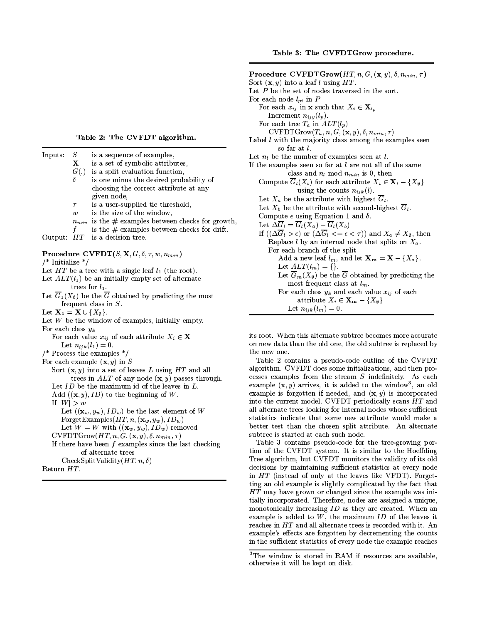Table 2: The CVFDT algorithm.

| Inputs:                                                 | $\cal S$<br>$\mathbf{X}$<br>G(.)<br>δ | is a sequence of examples,<br>is a set of symbolic attributes,<br>is a split evaluation function,<br>is one minus the desired probability of<br>choosing the correct attribute at any<br>given node, |
|---------------------------------------------------------|---------------------------------------|------------------------------------------------------------------------------------------------------------------------------------------------------------------------------------------------------|
|                                                         | $\tau$                                | is a user-supplied tie threshold,                                                                                                                                                                    |
|                                                         | w                                     | is the size of the window,                                                                                                                                                                           |
|                                                         |                                       | $n_{min}$ is the # examples between checks for growth,                                                                                                                                               |
|                                                         | f                                     | is the $#$ examples between checks for drift.                                                                                                                                                        |
| Output:                                                 | HT                                    | is a decision tree.                                                                                                                                                                                  |
| $/*$ Initialize */                                      |                                       | Procedure CVFDT $(S, X, G, \delta, \tau, w, n_{min})$                                                                                                                                                |
|                                                         |                                       | Let $HT$ be a tree with a single leaf $l_1$ (the root).                                                                                                                                              |
|                                                         |                                       | Let $ALT(l_1)$ be an initially empty set of alternate                                                                                                                                                |
|                                                         | trees for $l_1$ .                     |                                                                                                                                                                                                      |
|                                                         |                                       | Let $\overline{G}_1(X_{\emptyset})$ be the $\overline{G}$ obtained by predicting the most                                                                                                            |
|                                                         |                                       | frequent class in $S$ .                                                                                                                                                                              |
| Let $\mathbf{X}_1 = \mathbf{X} \cup \{X_{\emptyset}\}.$ |                                       |                                                                                                                                                                                                      |
|                                                         |                                       | Let $W$ be the window of examples, initially empty.                                                                                                                                                  |
| For each class $y_k$                                    |                                       |                                                                                                                                                                                                      |
|                                                         |                                       | For each value $x_{ij}$ of each attribute $X_i \in \mathbf{X}$                                                                                                                                       |
|                                                         |                                       | Let $n_{ijk}(l_1) = 0$ .                                                                                                                                                                             |
|                                                         |                                       | /* Process the examples $*/$                                                                                                                                                                         |
|                                                         |                                       | For each example $(\mathbf{x}, y)$ in S                                                                                                                                                              |
|                                                         |                                       | Sort $(x, y)$ into a set of leaves L using HT and all                                                                                                                                                |
|                                                         |                                       | trees in $ALT$ of any node $(x, y)$ passes through.                                                                                                                                                  |
|                                                         |                                       | Let $ID$ be the maximum id of the leaves in $L$ .                                                                                                                                                    |
|                                                         |                                       | Add $((\mathbf{x}, y), ID)$ to the beginning of W.                                                                                                                                                   |
| If $ W  > w$                                            |                                       |                                                                                                                                                                                                      |
|                                                         |                                       | Let $((\mathbf{x}_w, y_w), ID_w)$ be the last element of W                                                                                                                                           |
|                                                         |                                       | ForgetExamples( $HT, n, (\mathbf{x}_w, y_w), ID_w$ )                                                                                                                                                 |
|                                                         |                                       | Let $W = W$ with $((\mathbf{x}_w, y_w), ID_w)$ removed<br>$\text{CVFDTGrow}(HT, n, G, (\mathbf{x}, y), \delta, n_{min}, \tau)$                                                                       |
|                                                         |                                       | If there have been $f$ examples since the last checking                                                                                                                                              |
|                                                         |                                       | of alternate trees                                                                                                                                                                                   |
|                                                         |                                       | CheckSplitValidity $(HT, n, \delta)$                                                                                                                                                                 |
| Return HT.                                              |                                       |                                                                                                                                                                                                      |
|                                                         |                                       |                                                                                                                                                                                                      |

Procedure CVFDTGrow $(HT, n, G, (x, y), \delta, n_{min}, \tau)$ Sort  $(\mathbf{x}, y)$  into a leaf l using HT. Let  $P$  be the set of nodes traversed in the sort. For each node  $l_{pi}$  in  $P$ For each  $x_{ij}$  in **x** such that  $X_i \in \mathbf{X}_{l_n}$ Increment  $n_{ijy}(l_p)$ . For each tree  $T_a$  in  $ALT(l_p)$  $\mathrm{CVFDTGroup}(T_a, n, G, (\mathbf{x}, y), \delta, n_{min}, \tau)$ Label *l* with the majority class among the examples seen so far at l. Let  $n_l$  be the number of examples seen at l. If the examples seen so far at  $l$  are not all of the same class and  $n_l$  mod  $n_{min}$  is 0, then Compute  $\overline{G}_l(X_i)$  for each attribute  $X_i \in \mathbf{X}_l - \{X_{\emptyset}\}\$ using the counts  $n_{ijk}(l)$ . Let  $X_a$  be the attribute with highest  $\overline{G}_l$ . Let  $X_b$  be the attribute with second-highest  $\overline{G}_l$ . Compute  $\epsilon$  using Equation 1 and  $\delta$ . Let  $\Delta \overline{G}_l = \overline{G}_l(X_a) - \overline{G}_l(X_b)$ If  $((\Delta \overline{G}_l > \epsilon)$  or  $(\Delta \overline{G}_l < = \epsilon < \tau))$  and  $X_a \neq X_\emptyset$ , then Replace  $l$  by an internal node that splits on  $X_a$ . For each branch of the split Add a new leaf  $l_m$ , and let  $\mathbf{X_m} = \mathbf{X} - \{X_a\}$ . Let  $ALT(l_m) = \{\}.$ Let  $\overline{G}_m(X_\emptyset)$  be the  $\overline{G}$  obtained by predicting the most frequent class at  $l_m$ . For each class  $y_k$  and each value  $x_{ij}$  of each attribute  $X_i \in \mathbf{X_m} - \{X_{\emptyset}\}\$ Let  $n_{ijk}(l_m) = 0$ .

its root. When this alternate subtree becomes more accurate on new data than the old one, the old subtree is replaced by the new one.

Table 2 contains a pseudo-code outline of the CVFDT algorithm. CVFDT does some initializations, and then processes examples from the stream S indefinitely. As each example  $(x, y)$  arrives, it is added to the window<sup>3</sup>, an old example is forgotten if needed, and  $(x, y)$  is incorporated into the current model. CVFDT periodically scans HT and all alternate trees looking for internal nodes whose sufficient statistics indicate that some new attribute would make a better test than the chosen split attribute. An alternate subtree is started at each such node.

Table 3 contains pseudo-code for the tree-growing portion of the CVFDT system. It is similar to the Hoeffding Tree algorithm, but CVFDT monitors the validity of its old decisions by maintaining sufficient statistics at every node in HT (instead of only at the leaves like VFDT). Forgetting an old example is slightly complicated by the fact that HT may have grown or changed since the example was initially incorporated. Therefore, nodes are assigned a unique, monotonically increasing  $ID$  as they are created. When an example is added to  $W$ , the maximum  $ID$  of the leaves it reaches in HT and all alternate trees is recorded with it. An example's effects are forgotten by decrementing the counts in the sufficient statistics of every node the example reaches

<sup>&</sup>lt;sup>3</sup>The window is stored in RAM if resources are available, otherwise it will be kept on disk.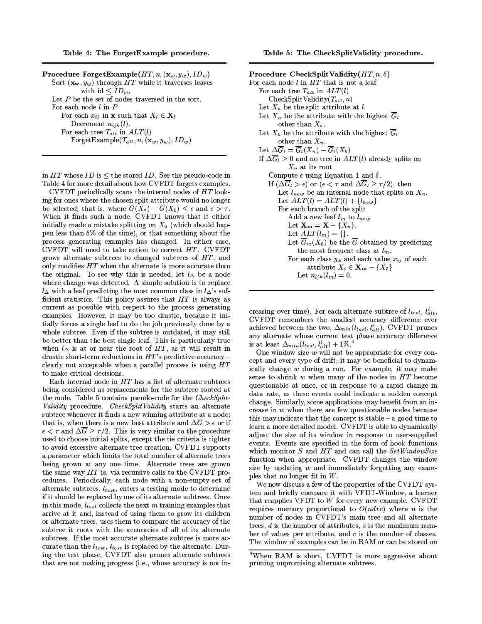Table 4: The ForgetExample procedure.

| <b>Procedure ForgetExample</b> ( $HT, n, (\mathbf{x}_w, y_w), ID_w$ ) |
|-----------------------------------------------------------------------|
| Sort $(\mathbf{x_w}, y_w)$ through HT while it traverses leaves       |
| with id $\langle ID_w,$                                               |
| Let $P$ be the set of nodes traversed in the sort.                    |
| For each node $l$ in $P$                                              |
| For each $x_{ij}$ in <b>x</b> such that $X_i \in \mathbf{X}_l$        |
| Decrement $n_{ijk}(l)$ .                                              |
| For each tree $T_{alt}$ in $ALT(l)$                                   |
| ForgetExample( $T_{alt}$ , $n$ , $(\mathbf{x}_w, y_w)$ , $ID_w$ )     |

in  $HT$  whose  $ID$  is  $\leq$  the stored  $ID$ . See the pseudo-code in Table 4 for more detail about how CVFDT forgets examples.

CVFDT periodically scans the internal nodes of HT looking for ones where the chosen split attribute would no longer be selected; that is, where  $\overline{G}(X_a) - \overline{G}(X_b) \leq \epsilon$  and  $\epsilon > \tau$ . When it finds such a node, CVFDT knows that it either initially made a mistake splitting on  $X_a$  (which should happen less than  $\delta\%$  of the time), or that something about the process generating examples has changed. In either case, CVFDT will need to take action to correct HT. CVFDT grows alternate subtrees to changed subtrees of  $HT$ , and only modifies HT when the alternate is more accurate than the original. To see why this is needed, let  $l_{\Delta}$  be a node where change was detected. A simple solution is to replace  $l_{\Delta}$  with a leaf predicting the most common class in  $l_{\Delta}$ 's sufficient statistics. This policy assures that  $HT$  is always as current as possible with respect to the process generating examples. However, it may be too drastic, because it initially forces a single leaf to do the job previously done by a whole subtree. Even if the subtree is outdated, it may still be better than the best single leaf. This is particularly true when  $l_{\Delta}$  is at or near the root of HT, as it will result in drastic short-term reductions in  $HT$ 's predictive accuracy – clearly not acceptable when a parallel process is using  $HT$ to make critical decisions.

Each internal node in  $HT$  has a list of alternate subtrees being considered as replacements for the subtree rooted at the node. Table 5 contains pseudo-code for the CheckSplit-Validity procedure. CheckSplitValidity starts an alternate subtree whenever it finds a new winning attribute at a node; that is, when there is a new best attribute and  $\Delta \overline{G} > \epsilon$  or if  $\epsilon < \tau$  and  $\Delta \overline{G} \geq \tau/2$ . This is very similar to the procedure used to choose initial splits, except the tie criteria is tighter to avoid excessive alternate tree creation. CVFDT supports a parameter which limits the total number of alternate trees being grown at any one time. Alternate trees are grown the same way  $HT$  is, via recursive calls to the CVFDT procedures. Periodically, each node with a non-empty set of alternate subtrees,  $l_{test}$ , enters a testing mode to determine if it should be replaced by one of its alternate subtrees. Once in this mode,  $l_{test}$  collects the next m training examples that arrive at it and, instead of using them to grow its children or alternate trees, uses them to compare the accuracy of the subtree it roots with the accuracies of all of its alternate subtrees. If the most accurate alternate subtree is more accurate than the  $l_{test}$ ,  $l_{test}$  is replaced by the alternate. During the test phase, CVFDT also prunes alternate subtrees that are not making progress (i.e., whose accuracy is not in-

| Procedure CheckSplitValidity $(HT, n, \delta)$                                                           |
|----------------------------------------------------------------------------------------------------------|
| For each node l in HT that is not a leaf                                                                 |
| For each tree $T_{alt}$ in $ALT(l)$                                                                      |
| $\text{CheckSplitValidity}(T_{alt}, n)$                                                                  |
| Let $X_a$ be the split attribute at l.                                                                   |
| Let $X_n$ be the attribute with the highest $G_l$                                                        |
| other than $X_a$ .                                                                                       |
| Let $X_b$ be the attribute with the highest $G_l$                                                        |
| other than $X_n$ .                                                                                       |
| Let $\Delta \overline{G}_l = \overline{G}_l(X_n) - \overline{G}_l(X_b)$                                  |
| If $\Delta \overline{G}_l \geq 0$ and no tree in $ALT(l)$ already splits on                              |
| $X_n$ at its root                                                                                        |
| Compute $\epsilon$ using Equation 1 and $\delta$ .                                                       |
| If $(\Delta \overline{G}_l > \epsilon)$ or $(\epsilon < \tau \text{ and } \Delta G_l \ge \tau/2)$ , then |
| Let $l_{new}$ be an internal node that splits on $X_n$ .                                                 |
| Let $ALT(l) = ALT(l) + \{l_{new}\}\$                                                                     |
| For each branch of the split                                                                             |
| Add a new leaf $l_m$ to $l_{new}$                                                                        |
| Let $\mathbf{X_m} = \mathbf{X} - \{X_n\}$ .                                                              |
| Let $ALT(l_m) = \{\}.$                                                                                   |
| Let $\overline{G}_m(X_\emptyset)$ be the $\overline{G}$ obtained by predicting                           |
| the most frequent class at $l_m$ .                                                                       |
| For each class $y_k$ and each value $x_{ij}$ of each                                                     |
| attribute $X_i \in \mathbf{X_m} - \{X_\emptyset\}$                                                       |
| Let $n_{ijk}(l_m) = 0$ .                                                                                 |

creasing over time). For each alternate subtree of  $l_{test}$ ,  $l_{alt}^i$ , CVFDT remembers the smallest accuracy difference ever achieved between the two,  $\Delta_{min}(l_{test}, l_{alt}^i)$ . CVFDT prunes any alternate whose current test phase accuracy difference is at least  $\Delta_{min}(l_{test}, l_{alt}^i) + 1\%.^4$ 

One window size  $w$  will not be appropriate for every concept and every type of drift; it may be beneficial to dynamically change w during a run. For example, it may make sense to shrink  $w$  when many of the nodes in  $HT$  become questionable at once, or in response to a rapid change in data rate, as these events could indicate a sudden concept change. Similarly, some applications may benefit from an increase in  $w$  when there are few questionable nodes because this may indicate that the concept is stable  $-$  a good time to learn a more detailed model. CVFDT is able to dynamically adjust the size of its window in response to user-supplied events. Events are specified in the form of hook functions which monitor  $S$  and  $HT$  and can call the  $SetWindowSize$ function when appropriate. CVFDT changes the window size by updating  $w$  and immediately forgetting any examples that no longer fit in  $W$ .

We now discuss a few of the properties of the CVFDT system and briefly compare it with VFDT-Window, a learner that reapplies VFDT to  $W$  for every new example. CVFDT requires memory proportional to  $O(n d v c)$  where *n* is the number of nodes in CVFDT's main tree and all alternate trees,  $d$  is the number of attributes,  $v$  is the maximum number of values per attribute, and  $c$  is the number of classes. The window of examples can be in RAM or can be stored on

<sup>&</sup>lt;sup>4</sup>When RAM is short, CVFDT is more aggressive about pruning unpromising alternate subtrees.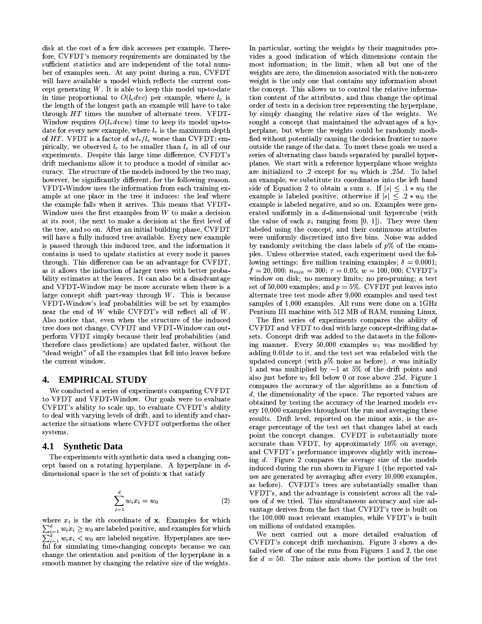disk at the cost of a few disk accesses per example. Therefore, CVFDT's memory requirements are dominated by the sufficient statistics and are independent of the total number of examples seen. At any point during a run, CVFDT will have available a model which reflects the current concept generating  $W$ . It is able to keep this model up-to-date in time proportional to  $O(l_c dvc)$  per example, where  $l_c$  is the length of the longest path an example will have to take through HT times the number of alternate trees. VFDT-Window requires  $O(l_v dvcw)$  time to keep its model up-todate for every new example, where  $l_v$  is the maximum depth of HT. VFDT is a factor of  $wl_v/l_c$  worse than CVFDT; empirically, we observed  $l_c$  to be smaller than  $l_v$  in all of our experiments. Despite this large time difference, CVFDT's drift mechanisms allow it to produce a model of similar accuracy. The structure of the models induced by the two may, however, be significantly different, for the following reason. VFDT-Window uses the information from each training example at one place in the tree it induces: the leaf where the example falls when it arrives. This means that VFDT-Window uses the first examples from  $W$  to make a decision at its root, the next to make a decision at the first level of the tree, and so on. After an initial building phase, CVFDT will have a fully induced tree available. Every new example is passed through this induced tree, and the information it contains is used to update statistics at every node it passes through. This difference can be an advantage for CVFDT, as it allows the induction of larger trees with better probability estimates at the leaves. It can also be a disadvantage and VFDT-Window may be more accurate when there is a large concept shift part-way through  $W$ . This is because VFDT-Window's leaf probabilities will be set by examples near the end of  $W$  while CVFDT's will reflect all of  $W$ . Also notice that, even when the structure of the induced tree does not change, CVFDT and VFDT-Window can outperform VFDT simply because their leaf probabilities (and therefore class predictions) are updated faster, without the "dead weight" of all the examples that fell into leaves before the current window.

#### **EMPIRICAL STUDY** 4.

We conducted a series of experiments comparing CVFDT to VFDT and VFDT-Window. Our goals were to evaluate CVFDT's ability to scale up, to evaluate CVFDT's ability to deal with varying levels of drift, and to identify and characterize the situations where CVFDT outperforms the other systems.

#### 4.1 **Synthetic Data**

The experiments with synthetic data used a changing concept based on a rotating hyperplane. A hyperplane in ddimensional space is the set of points x that satisfy

$$
\sum_{i=1}^{d} w_i x_i = w_0 \tag{2}
$$

where  $x_i$  is the *i*th coordinate of  $x$ . Examples for which  $\sum_{i=1}^d w_i x_i \geq w_0$  are labeled positive, and examples for which<br> $\sum_{i=1}^d w_i x_i < w_0$  are labeled negative. Hyperplanes are useful for simulating time-changing concepts because we can change the orientation and position of the hyperplane in a smooth manner by changing the relative size of the weights.

In particular, sorting the weights by their magnitudes provides a good indication of which dimensions contain the most information; in the limit, when all but one of the weights are zero, the dimension associated with the non-zero weight is the only one that contains any information about the concept. This allows us to control the relative information content of the attributes, and thus change the optimal order of tests in a decision tree representing the hyperplane, by simply changing the relative sizes of the weights. We sought a concept that maintained the advantages of a hyperplane, but where the weights could be randomly modified without potentially causing the decision frontier to move outside the range of the data. To meet these goals we used a series of alternating class bands separated by parallel hyperplanes. We start with a reference hyperplane whose weights are initialized to 2 except for  $w_0$  which is 25d. To label an example, we substitute its coordinates into the left hand side of Equation 2 to obtain a sum s. If  $|s| \leq 1 * w_0$  the example is labeled positive, otherwise if  $|s| \leq 2 * w_0$  the example is labeled negative, and so on. Examples were generated uniformly in a  $d$ -dimensional unit hypercube (with the value of each  $x_i$  ranging from [0, 1]). They were then labeled using the concept, and their continuous attributes were uniformly discretized into five bins. Noise was added by randomly switching the class labels of  $p\%$  of the examples. Unless otherwise stated, each experiment used the following settings: five million training examples;  $\delta = 0.0001$ ;  $f = 20,000; n_{min} = 300; \tau = 0.05; w = 100,000;$  CVFDT's window on disk; no memory limits; no pre-pruning; a test set of 50,000 examples; and  $p = 5\%$ . CVFDT put leaves into alternate tree test mode after 9,000 examples and used test samples of 1,000 examples. All runs were done on a 1GHz Pentium III machine with 512 MB of RAM, running Linux.

The first series of experiments compares the ability of CVFDT and VFDT to deal with large concept-drifting datasets. Concept drift was added to the datasets in the following manner. Every 50,000 examples  $w_1$  was modified by adding  $0.01d\sigma$  to it, and the test set was relabeled with the updated concept (with  $p\%$  noise as before)  $\sigma$  was initially 1 and was multiplied by  $-1$  at 5% of the drift points and also just before  $w_1$  fell below 0 or rose above .25d. Figure 1 compares the accuracy of the algorithms as a function of  $d$ , the dimensionality of the space. The reported values are obtained by testing the accuracy of the learned models every 10,000 examples throughout the run and averaging these results. Drift level, reported on the minor axis, is the average percentage of the test set that changes label at each point the concept changes. CVFDT is substantially more accurate than VFDT, by approximately 10% on average, and CVFDT's performance improves slightly with increasing  $d$ . Figure 2 compares the average size of the models induced during the run shown in Figure 1 (the reported values are generated by averaging after every 10,000 examples, as before). CVFDT's trees are substantially smaller than VFDT's, and the advantage is consistent across all the values of d we tried. This simultaneous accuracy and size advantage derives from the fact that CVFDT's tree is built on the 100,000 most relevant examples, while VFDT's is built on millions of outdated examples.

We next carried out a more detailed evaluation of CVFDT's concept drift mechanism. Figure 3 shows a detailed view of one of the runs from Figures 1 and 2, the one for  $d = 50$ . The minor axis shows the portion of the test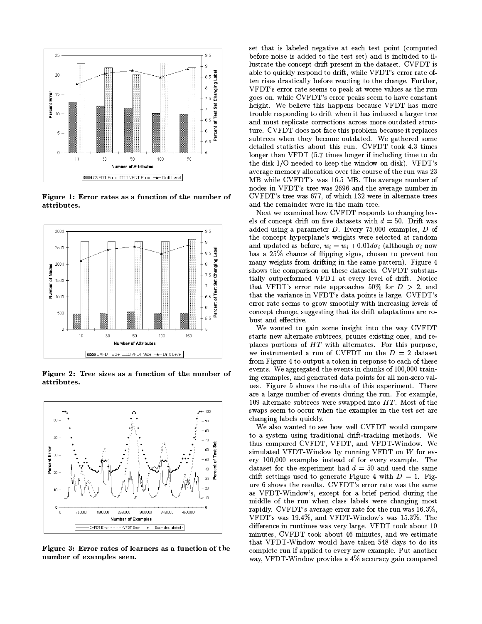

Figure 1: Error rates as a function of the number of attributes.



Figure 2: Tree sizes as a function of the number of attributes.



Figure 3: Error rates of learners as a function of the number of examples seen.

set that is labeled negative at each test point (computed before noise is added to the test set) and is included to illustrate the concept drift present in the dataset. CVFDT is able to quickly respond to drift, while VFDT's error rate often rises drastically before reacting to the change. Further, VFDT's error rate seems to peak at worse values as the run goes on, while CVFDT's error peaks seem to have constant height. We believe this happens because VFDT has more trouble responding to drift when it has induced a larger tree and must replicate corrections across more outdated structure. CVFDT does not face this problem because it replaces subtrees when they become outdated. We gathered some detailed statistics about this run. CVFDT took 4.3 times longer than VFDT (5.7 times longer if including time to do the disk I/O needed to keep the window on disk). VFDT's average memory allocation over the course of the run was 23 MB while CVFDT's was 16.5 MB. The average number of nodes in VFDT's tree was 2696 and the average number in CVFDT's tree was 677, of which 132 were in alternate trees and the remainder were in the main tree.

Next we examined how CVFDT responds to changing levels of concept drift on five datasets with  $d = 50$ . Drift was added using a parameter  $D$ . Every 75,000 examples,  $D$  of the concept hyperplane's weights were selected at random and updated as before,  $w_i = w_i + 0.01 d\sigma_i$  (although  $\sigma_i$  now has a 25% chance of flipping signs, chosen to prevent too many weights from drifting in the same pattern). Figure 4 shows the comparison on these datasets. CVFDT substantially outperformed VFDT at every level of drift. Notice that VFDT's error rate approaches 50% for  $D > 2$ , and that the variance in VFDT's data points is large. CVFDT's error rate seems to grow smoothly with increasing levels of concept change, suggesting that its drift adaptations are robust and effective.

We wanted to gain some insight into the way CVFDT starts new alternate subtrees, prunes existing ones, and replaces portions of  $HT$  with alternates. For this purpose, we instrumented a run of CVFDT on the  $D = 2$  dataset from Figure 4 to output a token in response to each of these events. We aggregated the events in chunks of 100,000 training examples, and generated data points for all non-zero values. Figure 5 shows the results of this experiment. There are a large number of events during the run. For example, 109 alternate subtrees were swapped into  $HT$ . Most of the swaps seem to occur when the examples in the test set are changing labels quickly.

We also wanted to see how well CVFDT would compare to a system using traditional drift-tracking methods. We thus compared CVFDT. VFDT. and VFDT-Window. We simulated VFDT-Window by running VFDT on  $W$  for every 100,000 examples instead of for every example. The dataset for the experiment had  $d = 50$  and used the same drift settings used to generate Figure 4 with  $D = 1$ . Figure 6 shows the results. CVFDT's error rate was the same as VFDT-Window's, except for a brief period during the middle of the run when class labels were changing most rapidly. CVFDT's average error rate for the run was 16.3%. VFDT's was 19.4%, and VFDT-Window's was 15.3%. The difference in runtimes was very large. VFDT took about 10 minutes, CVFDT took about 46 minutes, and we estimate that VFDT-Window would have taken 548 days to do its complete run if applied to every new example. Put another way, VFDT-Window provides a 4% accuracy gain compared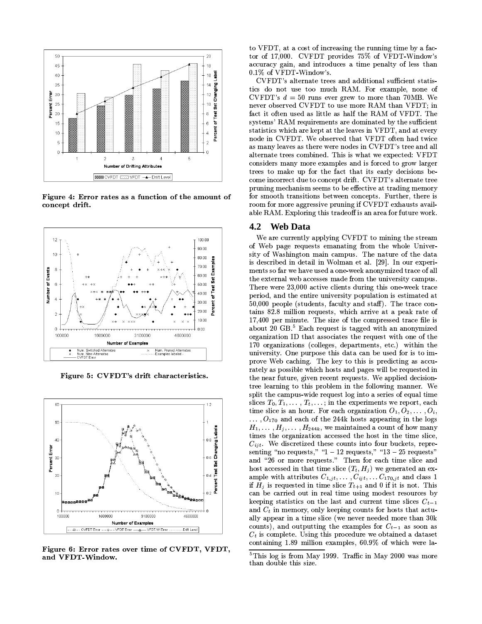

Figure 4: Error rates as a function of the amount of concept drift.



Figure 5: CVFDT's drift characteristics.



Figure 6: Error rates over time of CVFDT, VFDT, and VFDT-Window.

to VFDT, at a cost of increasing the running time by a factor of 17,000. CVFDT provides 75% of VFDT-Window's accuracy gain, and introduces a time penalty of less than 0.1% of VFDT-Window's.

CVFDT's alternate trees and additional sufficient statistics do not use too much RAM. For example, none of CVFDT's  $d = 50$  runs ever grew to more than 70MB. We never observed CVFDT to use more RAM than VFDT; in fact it often used as little as half the RAM of VFDT. The systems' RAM requirements are dominated by the sufficient statistics which are kept at the leaves in VFDT, and at every node in CVFDT. We observed that VFDT often had twice as many leaves as there were nodes in CVFDT's tree and all alternate trees combined. This is what we expected: VFDT considers many more examples and is forced to grow larger trees to make up for the fact that its early decisions become incorrect due to concept drift. CVFDT's alternate tree pruning mechanism seems to be effective at trading memory for smooth transitions between concepts. Further, there is room for more aggressive pruning if CVFDT exhausts available RAM. Exploring this tradeoff is an area for future work.

### 4.2 Web Data

We are currently applying CVFDT to mining the stream of Web page requests emanating from the whole University of Washington main campus. The nature of the data is described in detail in Wolman et al. [29]. In our experiments so far we have used a one-week anonymized trace of all the external web accesses made from the university campus. There were 23,000 active clients during this one-week trace period, and the entire university population is estimated at 50,000 people (students, faculty and staff). The trace contains 82.8 million requests, which arrive at a peak rate of 17,400 per minute. The size of the compressed trace file is about 20 GB.<sup>5</sup> Each request is tagged with an anonymized organization ID that associates the request with one of the 170 organizations (colleges, departments, etc.) within the university. One purpose this data can be used for is to improve Web caching. The key to this is predicting as accurately as possible which hosts and pages will be requested in the near future, given recent requests. We applied decisiontree learning to this problem in the following manner. We split the campus-wide request log into a series of equal time slices  $T_0, T_1, \ldots, T_t, \ldots$ ; in the experiments we report, each time slice is an hour. For each organization  $O_1, O_2, \ldots, O_i$ ,  $\ldots$ ,  $O_{170}$  and each of the 244k hosts appearing in the logs  $H_1, \ldots, H_j, \ldots, H_{244k}$ , we maintained a count of how many times the organization accessed the host in the time slice,  $C_{ijt}$ . We discretized these counts into four buckets, representing "no requests," " $1-12$  requests," " $13-25$  requests" and "26 or more requests." Then for each time slice and host accessed in that time slice  $(T_t, H_i)$  we generated an example with attributes  $C_{1,jt}, \ldots, C_{ijt}, \ldots C_{170,jt}$  and class 1 if  $H_j$  is requested in time slice  $T_{t+1}$  and 0 if it is not. This can be carried out in real time using modest resources by keeping statistics on the last and current time slices  $C_{t-1}$ and  $C_t$  in memory, only keeping counts for hosts that actually appear in a time slice (we never needed more than 30k counts), and outputting the examples for  $C_{t-1}$  as soon as  $C_t$  is complete. Using this procedure we obtained a dataset containing 1.89 million examples, 60.9% of which were la-

 ${}^{5}$ This log is from May 1999. Traffic in May 2000 was more than double this size.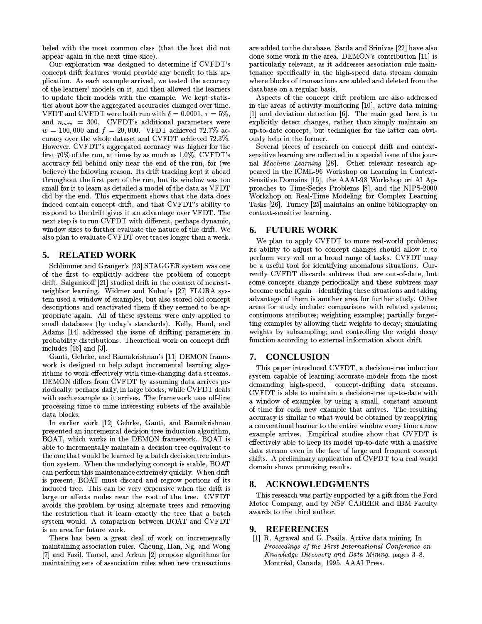beled with the most common class (that the host did not appear again in the next time slice).

Our exploration was designed to determine if CVFDT's concept drift features would provide any benefit to this application. As each example arrived, we tested the accuracy of the learners' models on it, and then allowed the learners to update their models with the example. We kept statistics about how the aggregated accuracies changed over time. VFDT and CVFDT were both run with  $\delta = 0.0001$ ,  $\tau = 5\%$ , and  $n_{min}$  = 300. CVFDT's additional parameters were  $w = 100,000$  and  $f = 20,000$ . VFDT achieved 72.7% accuracy over the whole dataset and CVFDT achieved 72.3%. However, CVFDT's aggregated accuracy was higher for the first 70% of the run, at times by as much as 1.0%. CVFDT's accuracy fell behind only near the end of the run, for (we believe) the following reason. Its drift tracking kept it ahead throughout the first part of the run, but its window was too small for it to learn as detailed a model of the data as VFDT did by the end. This experiment shows that the data does indeed contain concept drift, and that CVFDT's ability to respond to the drift gives it an advantage over VFDT. The next step is to run CVFDT with different, perhaps dynamic, window sizes to further evaluate the nature of the drift. We also plan to evaluate CVFDT over traces longer than a week.

#### **RELATED WORK** 5.

Schlimmer and Granger's [23] STAGGER system was one of the first to explicitly address the problem of concept drift. Salganicoff [21] studied drift in the context of nearestneighbor learning. Widmer and Kubat's [27] FLORA system used a window of examples, but also stored old concept descriptions and reactivated them if they seemed to be appropriate again. All of these systems were only applied to small databases (by today's standards). Kelly, Hand, and Adams [14] addressed the issue of drifting parameters in probability distributions. Theoretical work on concept drift includes  $[16]$  and  $[3]$ .

Ganti, Gehrke, and Ramakrishnan's [11] DEMON framework is designed to help adapt incremental learning algorithms to work effectively with time-changing data streams. DEMON differs from CVFDT by assuming data arrives periodically, perhaps daily, in large blocks, while CVFDT deals with each example as it arrives. The framework uses off-line processing time to mine interesting subsets of the available data blocks.

In earlier work [12] Gehrke, Ganti, and Ramakrishnan presented an incremental decision tree induction algorithm. BOAT, which works in the DEMON framework. BOAT is able to incrementally maintain a decision tree equivalent to the one that would be learned by a batch decision tree induction system. When the underlying concept is stable, BOAT can perform this maintenance extremely quickly. When drift is present, BOAT must discard and regrow portions of its induced tree. This can be very expensive when the drift is large or affects nodes near the root of the tree. CVFDT avoids the problem by using alternate trees and removing the restriction that it learn exactly the tree that a batch system would. A comparison between BOAT and CVFDT is an area for future work.

There has been a great deal of work on incrementally maintaining association rules. Cheung, Han, Ng, and Wong [7] and Fazil, Tansel, and Arkun [2] propose algorithms for maintaining sets of association rules when new transactions

are added to the database. Sarda and Srinivas [22] have also done some work in the area. DEMON's contribution [11] is particularly relevant, as it addresses association rule maintenance specifically in the high-speed data stream domain where blocks of transactions are added and deleted from the database on a regular basis.

Aspects of the concept drift problem are also addressed in the areas of activity monitoring [10], active data mining [1] and deviation detection [6]. The main goal here is to explicitly detect changes, rather than simply maintain an up-to-date concept, but techniques for the latter can obviously help in the former.

Several pieces of research on concept drift and contextsensitive learning are collected in a special issue of the journal Machine Learning [28]. Other relevant research appeared in the ICML-96 Workshop on Learning in Context-Sensitive Domains [15], the AAAI-98 Workshop on AI Approaches to Time-Series Problems [8], and the NIPS-2000 Workshop on Real-Time Modeling for Complex Learning Tasks [26]. Turney [25] maintains an online bibliography on context-sensitive learning.

# **6. FUTURE WORK**

We plan to apply CVFDT to more real-world problems; its ability to adjust to concept changes should allow it to perform very well on a broad range of tasks. CVFDT may be a useful tool for identifying anomalous situations. Currently CVFDT discards subtrees that are out-of-date, but some concepts change periodically and these subtrees may become useful again - identifying these situations and taking advantage of them is another area for further study. Other areas for study include: comparisons with related systems; continuous attributes; weighting examples; partially forgetting examples by allowing their weights to decay; simulating weights by subsampling; and controlling the weight decay function according to external information about drift.

#### **CONCLUSION** 7.

This paper introduced CVFDT, a decision-tree induction system capable of learning accurate models from the most demanding high-speed, concept-drifting data streams. CVFDT is able to maintain a decision-tree up-to-date with a window of examples by using a small, constant amount of time for each new example that arrives. The resulting accuracy is similar to what would be obtained by reapplying a conventional learner to the entire window every time a new example arrives. Empirical studies show that CVFDT is effectively able to keep its model up-to-date with a massive data stream even in the face of large and frequent concept shifts. A preliminary application of CVFDT to a real world domain shows promising results.

#### **ACKNOWLEDGMENTS** 8.

This research was partly supported by a gift from the Ford Motor Company, and by NSF CAREER and IBM Faculty awards to the third author.

### 9. REFERENCES

[1] R. Agrawal and G. Psaila. Active data mining. In Proceedings of the First International Conference on Knowledge Discovery and Data Mining, pages 3-8, Montréal, Canada, 1995. AAAI Press.